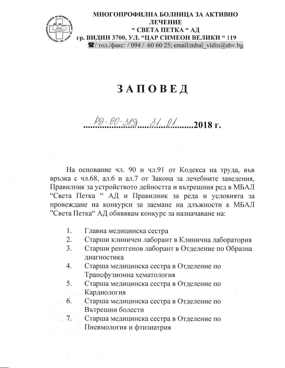

## ЗАПОВЕД

## $\frac{1}{2}$  0. 319 31 01 01 01 018 г.

На основание чл. 90 и чл. 91 от Кодекса на труда, във връзка с чл.68, ал.6 и ал.7 от Закона за лечебните заведения, Правилник за устройството дейността и вътрешния ред в МБАЛ "Света Петка " АД и Правилник за реда и условията за провеждане на конкурси за заемане на длъжности в МБАЛ "Света Петка" АД обявявам конкурс за назначаване на:

- 1. Главна медицинска сестра
- 2. Старши клиничен лаборант в Клинична лаборатория
- 3. Старши рентгенов лаборант в Отделение по Образна диагностика
- Старша медицинска сестра в Отделение по 4. Трансфузионна хематология
- 5. Старша медицинска сестра в Отделение по Кардиология

Старша медицинска сестра в Отделение по  $6.$ Вътрешни болести

Старша медицинска сестра в Отделение по 7.

Пневмология и фтизиатрия